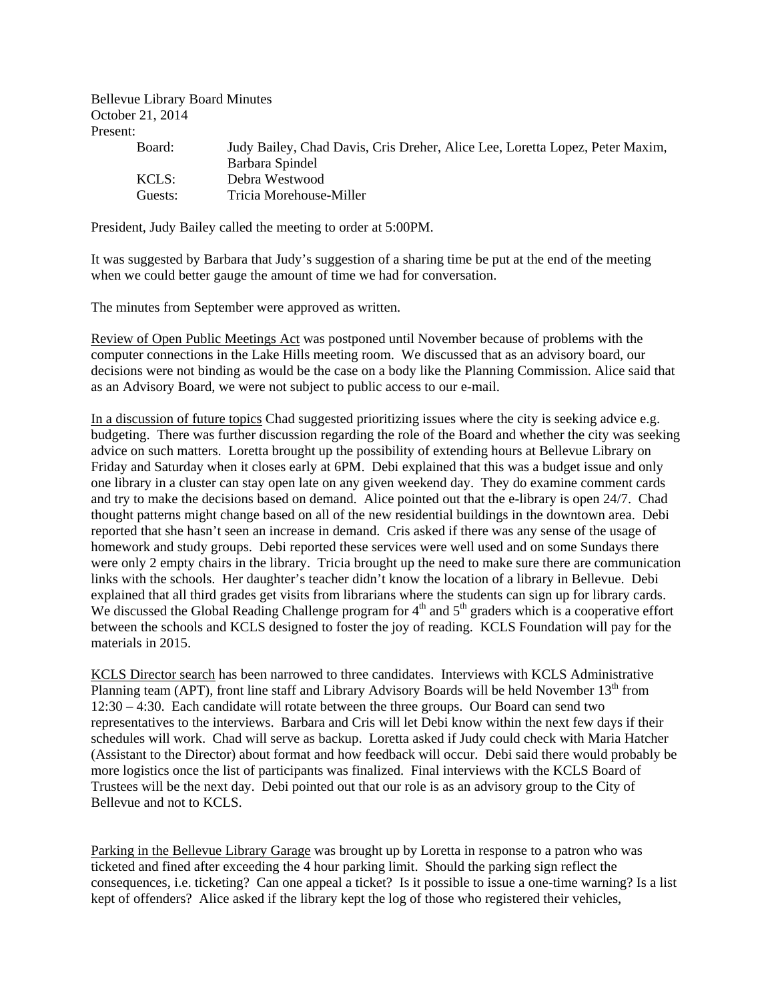Bellevue Library Board Minutes October 21, 2014 Present:

| Board:  | Judy Bailey, Chad Davis, Cris Dreher, Alice Lee, Loretta Lopez, Peter Maxim, |
|---------|------------------------------------------------------------------------------|
|         | Barbara Spindel                                                              |
| KCLS:   | Debra Westwood                                                               |
| Guests: | Tricia Morehouse-Miller                                                      |

President, Judy Bailey called the meeting to order at 5:00PM.

It was suggested by Barbara that Judy's suggestion of a sharing time be put at the end of the meeting when we could better gauge the amount of time we had for conversation.

The minutes from September were approved as written.

Review of Open Public Meetings Act was postponed until November because of problems with the computer connections in the Lake Hills meeting room. We discussed that as an advisory board, our decisions were not binding as would be the case on a body like the Planning Commission. Alice said that as an Advisory Board, we were not subject to public access to our e-mail.

In a discussion of future topics Chad suggested prioritizing issues where the city is seeking advice e.g. budgeting. There was further discussion regarding the role of the Board and whether the city was seeking advice on such matters. Loretta brought up the possibility of extending hours at Bellevue Library on Friday and Saturday when it closes early at 6PM. Debi explained that this was a budget issue and only one library in a cluster can stay open late on any given weekend day. They do examine comment cards and try to make the decisions based on demand. Alice pointed out that the e-library is open 24/7. Chad thought patterns might change based on all of the new residential buildings in the downtown area. Debi reported that she hasn't seen an increase in demand. Cris asked if there was any sense of the usage of homework and study groups. Debi reported these services were well used and on some Sundays there were only 2 empty chairs in the library. Tricia brought up the need to make sure there are communication links with the schools. Her daughter's teacher didn't know the location of a library in Bellevue. Debi explained that all third grades get visits from librarians where the students can sign up for library cards. We discussed the Global Reading Challenge program for  $4<sup>th</sup>$  and  $5<sup>th</sup>$  graders which is a cooperative effort between the schools and KCLS designed to foster the joy of reading. KCLS Foundation will pay for the materials in 2015.

KCLS Director search has been narrowed to three candidates. Interviews with KCLS Administrative Planning team (APT), front line staff and Library Advisory Boards will be held November 13<sup>th</sup> from 12:30 – 4:30. Each candidate will rotate between the three groups. Our Board can send two representatives to the interviews. Barbara and Cris will let Debi know within the next few days if their schedules will work. Chad will serve as backup. Loretta asked if Judy could check with Maria Hatcher (Assistant to the Director) about format and how feedback will occur. Debi said there would probably be more logistics once the list of participants was finalized. Final interviews with the KCLS Board of Trustees will be the next day. Debi pointed out that our role is as an advisory group to the City of Bellevue and not to KCLS.

Parking in the Bellevue Library Garage was brought up by Loretta in response to a patron who was ticketed and fined after exceeding the 4 hour parking limit. Should the parking sign reflect the consequences, i.e. ticketing? Can one appeal a ticket? Is it possible to issue a one-time warning? Is a list kept of offenders? Alice asked if the library kept the log of those who registered their vehicles,